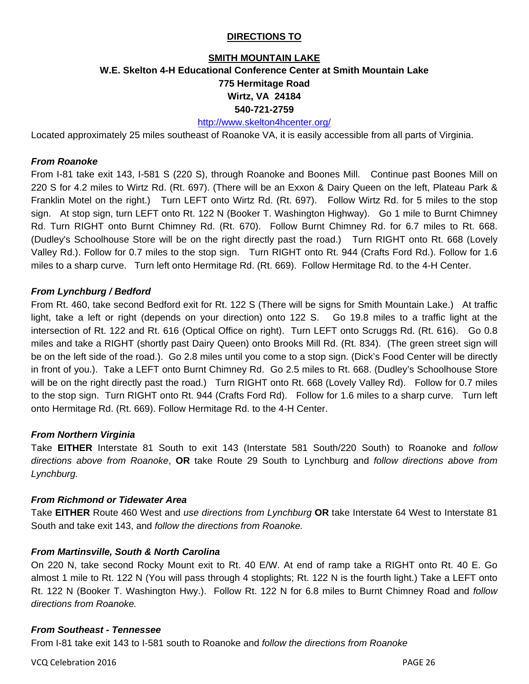#### **DIRECTIONS TO**

# **SMITH MOUNTAIN LAKE W.E. Skelton 4-H Educational Conference Center at Smith Mountain Lake 775 Hermitage Road Wirtz, VA 24184 540-721-2759**

# http://www.skelton4hcenter.org/

Located approximately 25 miles southeast of Roanoke VA, it is easily accessible from all parts of Virginia.

#### *From Roanoke*

From I-81 take exit 143, I-581 S (220 S), through Roanoke and Boones Mill. Continue past Boones Mill on 220 S for 4.2 miles to Wirtz Rd. (Rt. 697). (There will be an Exxon & Dairy Queen on the left, Plateau Park & Franklin Motel on the right.) Turn LEFT onto Wirtz Rd. (Rt. 697). Follow Wirtz Rd. for 5 miles to the stop sign. At stop sign, turn LEFT onto Rt. 122 N (Booker T. Washington Highway). Go 1 mile to Burnt Chimney Rd. Turn RIGHT onto Burnt Chimney Rd. (Rt. 670). Follow Burnt Chimney Rd. for 6.7 miles to Rt. 668. (Dudley's Schoolhouse Store will be on the right directly past the road.) Turn RIGHT onto Rt. 668 (Lovely Valley Rd.). Follow for 0.7 miles to the stop sign. Turn RIGHT onto Rt. 944 (Crafts Ford Rd.). Follow for 1.6 miles to a sharp curve. Turn left onto Hermitage Rd. (Rt. 669). Follow Hermitage Rd. to the 4-H Center.

#### *From Lynchburg / Bedford*

From Rt. 460, take second Bedford exit for Rt. 122 S (There will be signs for Smith Mountain Lake.) At traffic light, take a left or right (depends on your direction) onto 122 S. Go 19.8 miles to a traffic light at the intersection of Rt. 122 and Rt. 616 (Optical Office on right). Turn LEFT onto Scruggs Rd. (Rt. 616). Go 0.8 miles and take a RIGHT (shortly past Dairy Queen) onto Brooks Mill Rd. (Rt. 834). (The green street sign will be on the left side of the road.). Go 2.8 miles until you come to a stop sign. (Dick's Food Center will be directly in front of you.). Take a LEFT onto Burnt Chimney Rd. Go 2.5 miles to Rt. 668. (Dudley's Schoolhouse Store will be on the right directly past the road.) Turn RIGHT onto Rt. 668 (Lovely Valley Rd). Follow for 0.7 miles to the stop sign. Turn RIGHT onto Rt. 944 (Crafts Ford Rd). Follow for 1.6 miles to a sharp curve. Turn left onto Hermitage Rd. (Rt. 669). Follow Hermitage Rd. to the 4-H Center.

#### *From Northern Virginia*

Take **EITHER** Interstate 81 South to exit 143 (Interstate 581 South/220 South) to Roanoke and *follow directions above from Roanoke*, **OR** take Route 29 South to Lynchburg and *follow directions above from Lynchburg.* 

#### *From Richmond or Tidewater Area*

Take **EITHER** Route 460 West and *use directions from Lynchburg* **OR** take Interstate 64 West to Interstate 81 South and take exit 143, and *follow the directions from Roanoke.* 

#### *From Martinsville, South & North Carolina*

On 220 N, take second Rocky Mount exit to Rt. 40 E/W. At end of ramp take a RIGHT onto Rt. 40 E. Go almost 1 mile to Rt. 122 N (You will pass through 4 stoplights; Rt. 122 N is the fourth light.) Take a LEFT onto Rt. 122 N (Booker T. Washington Hwy.). Follow Rt. 122 N for 6.8 miles to Burnt Chimney Road and *follow directions from Roanoke.*

#### *From Southeast - Tennessee*

From I-81 take exit 143 to I-581 south to Roanoke and *follow the directions from Roanoke* 

VCQ Celebration 2016 PAGE 26